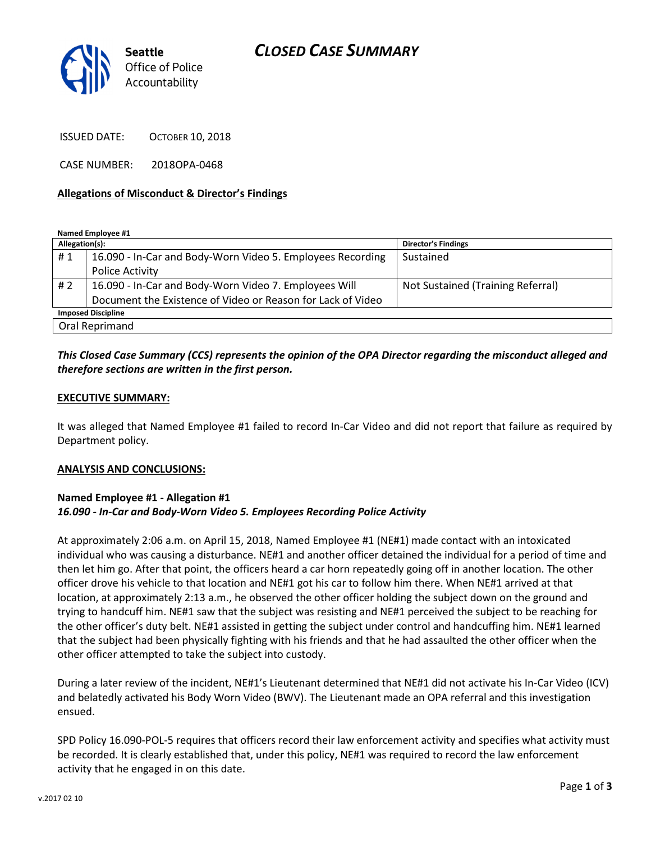## CLOSED CASE SUMMARY



ISSUED DATE: OCTOBER 10, 2018

CASE NUMBER: 2018OPA-0468

#### Allegations of Misconduct & Director's Findings

Named Employee #1

| Allegation(s):            |                                                             | <b>Director's Findings</b>        |
|---------------------------|-------------------------------------------------------------|-----------------------------------|
| #1                        | 16.090 - In-Car and Body-Worn Video 5. Employees Recording  | Sustained                         |
|                           | Police Activity                                             |                                   |
| #2                        | 16.090 - In-Car and Body-Worn Video 7. Employees Will       | Not Sustained (Training Referral) |
|                           | Document the Existence of Video or Reason for Lack of Video |                                   |
| <b>Imposed Discipline</b> |                                                             |                                   |
| Oral Reprimand            |                                                             |                                   |

### This Closed Case Summary (CCS) represents the opinion of the OPA Director regarding the misconduct alleged and therefore sections are written in the first person.

#### EXECUTIVE SUMMARY:

It was alleged that Named Employee #1 failed to record In-Car Video and did not report that failure as required by Department policy.

#### ANALYSIS AND CONCLUSIONS:

### Named Employee #1 - Allegation #1 16.090 - In-Car and Body-Worn Video 5. Employees Recording Police Activity

At approximately 2:06 a.m. on April 15, 2018, Named Employee #1 (NE#1) made contact with an intoxicated individual who was causing a disturbance. NE#1 and another officer detained the individual for a period of time and then let him go. After that point, the officers heard a car horn repeatedly going off in another location. The other officer drove his vehicle to that location and NE#1 got his car to follow him there. When NE#1 arrived at that location, at approximately 2:13 a.m., he observed the other officer holding the subject down on the ground and trying to handcuff him. NE#1 saw that the subject was resisting and NE#1 perceived the subject to be reaching for the other officer's duty belt. NE#1 assisted in getting the subject under control and handcuffing him. NE#1 learned that the subject had been physically fighting with his friends and that he had assaulted the other officer when the other officer attempted to take the subject into custody.

During a later review of the incident, NE#1's Lieutenant determined that NE#1 did not activate his In-Car Video (ICV) and belatedly activated his Body Worn Video (BWV). The Lieutenant made an OPA referral and this investigation ensued.

SPD Policy 16.090-POL-5 requires that officers record their law enforcement activity and specifies what activity must be recorded. It is clearly established that, under this policy, NE#1 was required to record the law enforcement activity that he engaged in on this date.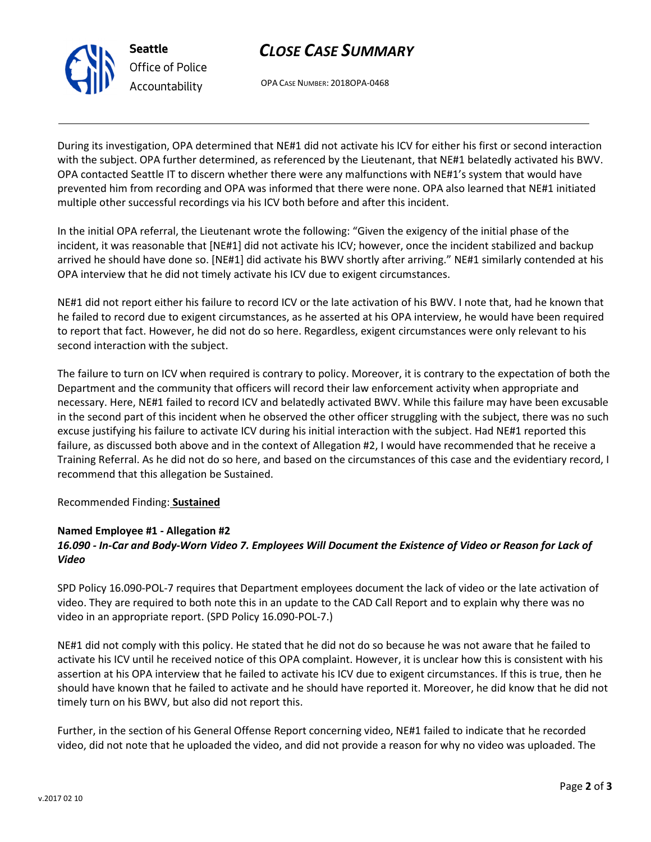



OPA CASE NUMBER: 2018OPA-0468

During its investigation, OPA determined that NE#1 did not activate his ICV for either his first or second interaction with the subject. OPA further determined, as referenced by the Lieutenant, that NE#1 belatedly activated his BWV. OPA contacted Seattle IT to discern whether there were any malfunctions with NE#1's system that would have prevented him from recording and OPA was informed that there were none. OPA also learned that NE#1 initiated multiple other successful recordings via his ICV both before and after this incident.

In the initial OPA referral, the Lieutenant wrote the following: "Given the exigency of the initial phase of the incident, it was reasonable that [NE#1] did not activate his ICV; however, once the incident stabilized and backup arrived he should have done so. [NE#1] did activate his BWV shortly after arriving." NE#1 similarly contended at his OPA interview that he did not timely activate his ICV due to exigent circumstances.

NE#1 did not report either his failure to record ICV or the late activation of his BWV. I note that, had he known that he failed to record due to exigent circumstances, as he asserted at his OPA interview, he would have been required to report that fact. However, he did not do so here. Regardless, exigent circumstances were only relevant to his second interaction with the subject.

The failure to turn on ICV when required is contrary to policy. Moreover, it is contrary to the expectation of both the Department and the community that officers will record their law enforcement activity when appropriate and necessary. Here, NE#1 failed to record ICV and belatedly activated BWV. While this failure may have been excusable in the second part of this incident when he observed the other officer struggling with the subject, there was no such excuse justifying his failure to activate ICV during his initial interaction with the subject. Had NE#1 reported this failure, as discussed both above and in the context of Allegation #2, I would have recommended that he receive a Training Referral. As he did not do so here, and based on the circumstances of this case and the evidentiary record, I recommend that this allegation be Sustained.

Recommended Finding: Sustained

## Named Employee #1 - Allegation #2

## 16.090 - In-Car and Body-Worn Video 7. Employees Will Document the Existence of Video or Reason for Lack of Video

SPD Policy 16.090-POL-7 requires that Department employees document the lack of video or the late activation of video. They are required to both note this in an update to the CAD Call Report and to explain why there was no video in an appropriate report. (SPD Policy 16.090-POL-7.)

NE#1 did not comply with this policy. He stated that he did not do so because he was not aware that he failed to activate his ICV until he received notice of this OPA complaint. However, it is unclear how this is consistent with his assertion at his OPA interview that he failed to activate his ICV due to exigent circumstances. If this is true, then he should have known that he failed to activate and he should have reported it. Moreover, he did know that he did not timely turn on his BWV, but also did not report this.

Further, in the section of his General Offense Report concerning video, NE#1 failed to indicate that he recorded video, did not note that he uploaded the video, and did not provide a reason for why no video was uploaded. The